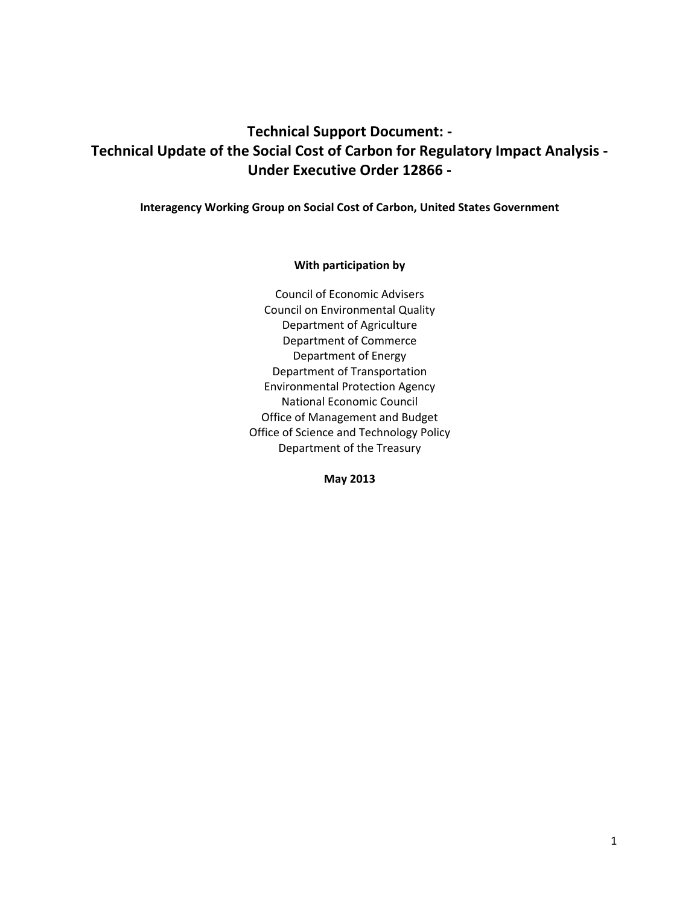# **Technical Support Document: - Technical Update of the Social Cost of Carbon for Regulatory Impact Analysis - Under Executive Order 12866 -**

### **Interagency Working Group on Social Cost of Carbon, United States Government**

#### **With participation by**

Council of Economic Advisers Council on Environmental Quality Department of Agriculture Department of Commerce Department of Energy Department of Transportation Environmental Protection Agency National Economic Council Office of Management and Budget Office of Science and Technology Policy Department of the Treasury

**May 2013**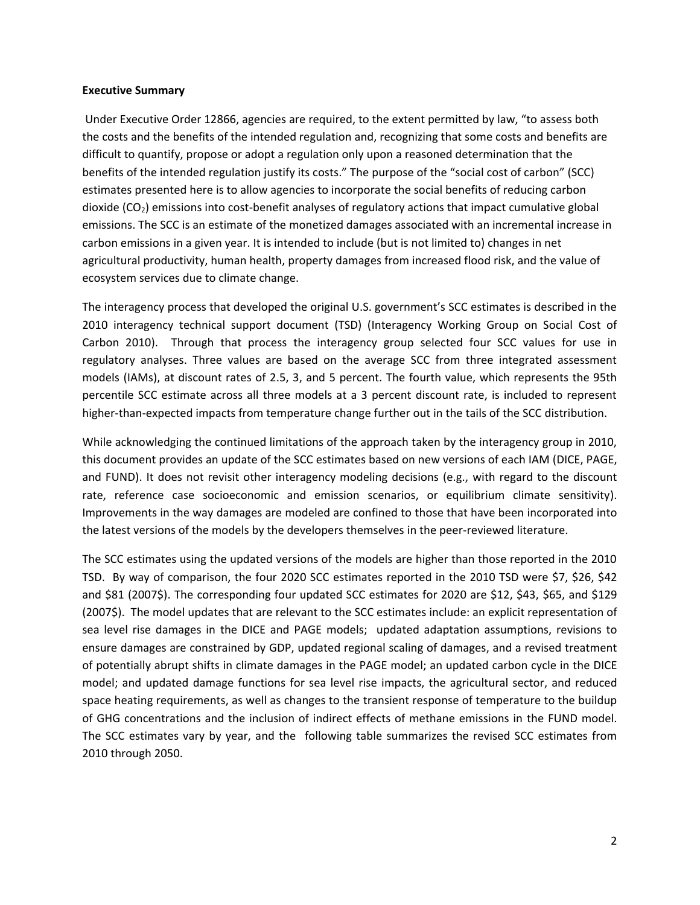#### **Executive Summary**

Under Executive Order 12866, agencies are required, to the extent permitted by law, "to assess both the costs and the benefits of the intended regulation and, recognizing that some costs and benefits are difficult to quantify, propose or adopt a regulation only upon a reasoned determination that the benefits of the intended regulation justify its costs." The purpose of the "social cost of carbon" (SCC) estimates presented here is to allow agencies to incorporate the social benefits of reducing carbon dioxide (CO2) emissions into cost-benefit analyses of regulatory actions that impact cumulative global emissions. The SCC is an estimate of the monetized damages associated with an incremental increase in carbon emissions in a given year. It is intended to include (but is not limited to) changes in net agricultural productivity, human health, property damages from increased flood risk, and the value of ecosystem services due to climate change.

The interagency process that developed the original U.S. government's SCC estimates is described in the 2010 interagency technical support document (TSD) (Interagency Working Group on Social Cost of Carbon 2010). Through that process the interagency group selected four SCC values for use in regulatory analyses. Three values are based on the average SCC from three integrated assessment models (IAMs), at discount rates of 2.5, 3, and 5 percent. The fourth value, which represents the 95th percentile SCC estimate across all three models at a 3 percent discount rate, is included to represent higher-than-expected impacts from temperature change further out in the tails of the SCC distribution.

While acknowledging the continued limitations of the approach taken by the interagency group in 2010, this document provides an update of the SCC estimates based on new versions of each IAM (DICE, PAGE, and FUND). It does not revisit other interagency modeling decisions (e.g., with regard to the discount rate, reference case socioeconomic and emission scenarios, or equilibrium climate sensitivity). Improvements in the way damages are modeled are confined to those that have been incorporated into the latest versions of the models by the developers themselves in the peer-reviewed literature.

The SCC estimates using the updated versions of the models are higher than those reported in the 2010 TSD. By way of comparison, the four 2020 SCC estimates reported in the 2010 TSD were \$7, \$26, \$42 and \$81 (2007\$). The corresponding four updated SCC estimates for 2020 are \$12, \$43, \$65, and \$129 (2007\$). The model updates that are relevant to the SCC estimates include: an explicit representation of sea level rise damages in the DICE and PAGE models; updated adaptation assumptions, revisions to ensure damages are constrained by GDP, updated regional scaling of damages, and a revised treatment of potentially abrupt shifts in climate damages in the PAGE model; an updated carbon cycle in the DICE model; and updated damage functions for sea level rise impacts, the agricultural sector, and reduced space heating requirements, as well as changes to the transient response of temperature to the buildup of GHG concentrations and the inclusion of indirect effects of methane emissions in the FUND model. The SCC estimates vary by year, and the following table summarizes the revised SCC estimates from 2010 through 2050.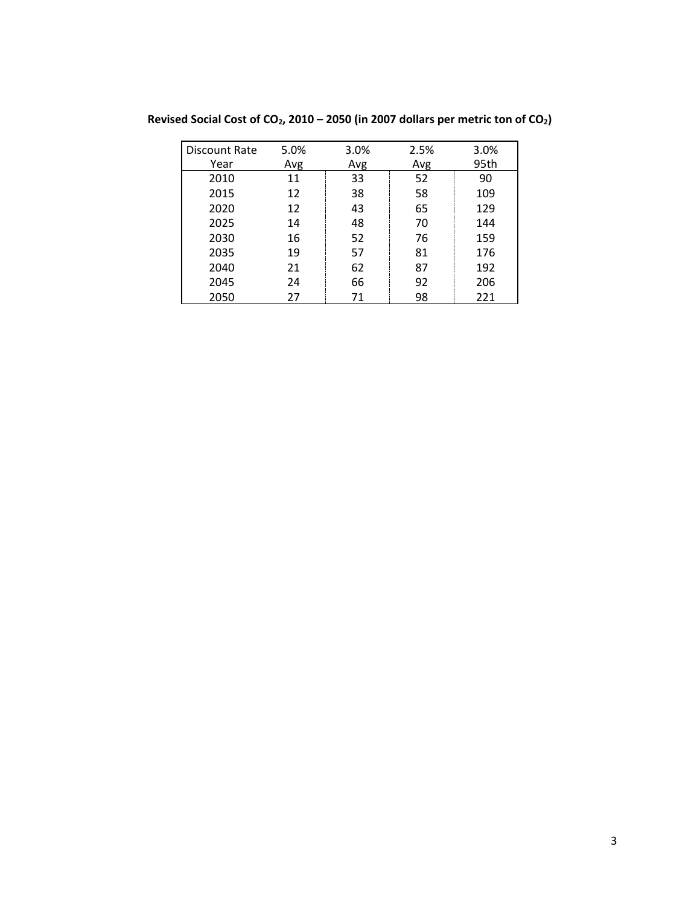| Discount Rate | 5.0% | 3.0% | 2.5% | 3.0% |
|---------------|------|------|------|------|
| Year          | Avg  | Avg  | Avg  | 95th |
| 2010          | 11   | 33   | 52   | 90   |
| 2015          | 12   | 38   | 58   | 109  |
| 2020          | 12   | 43   | 65   | 129  |
| 2025          | 14   | 48   | 70   | 144  |
| 2030          | 16   | 52   | 76   | 159  |
| 2035          | 19   | 57   | 81   | 176  |
| 2040          | 21   | 62   | 87   | 192  |
| 2045          | 24   | 66   | 92   | 206  |
| 2050          | 27   | 71   | 98   | 221  |

**Revised Social Cost of CO2, 2010 – 2050 (in 2007 dollars per metric ton of CO2)**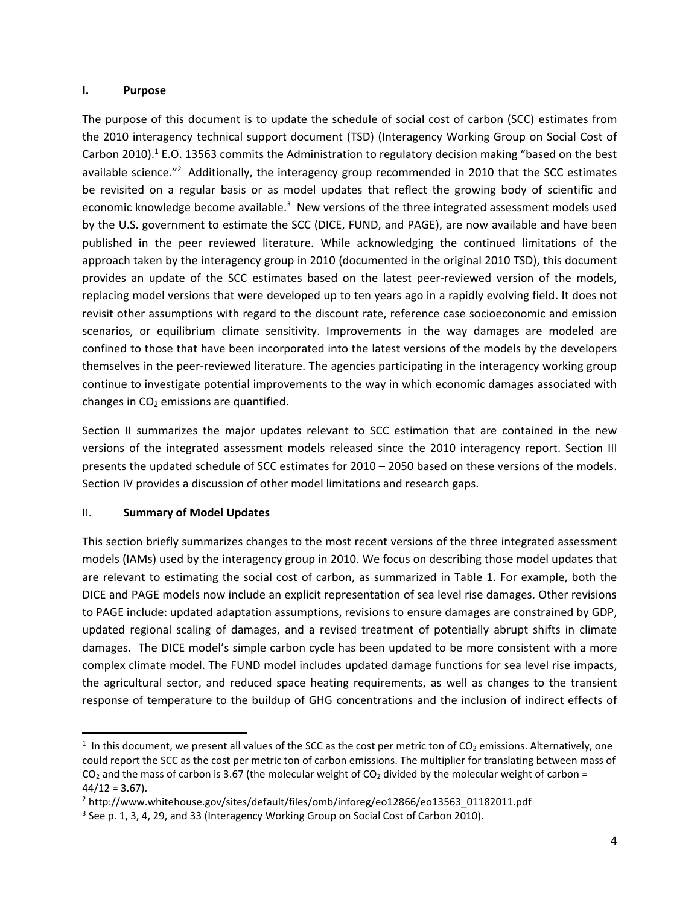#### **I. Purpose**

The purpose of this document is to update the schedule of social cost of carbon (SCC) estimates from the 2010 interagency technical support document (TSD) (Interagency Working Group on Social Cost of Carbon 2010).<sup>1</sup> E.O. 13563 commits the Administration to regulatory decision making "based on the best available science."<sup>2</sup> Additionally, the interagency group recommended in 2010 that the SCC estimates be revisited on a regular basis or as model updates that reflect the growing body of scientific and economic knowledge become available.<sup>3</sup> New versions of the three integrated assessment models used by the U.S. government to estimate the SCC (DICE, FUND, and PAGE), are now available and have been published in the peer reviewed literature. While acknowledging the continued limitations of the approach taken by the interagency group in 2010 (documented in the original 2010 TSD), this document provides an update of the SCC estimates based on the latest peer-reviewed version of the models, replacing model versions that were developed up to ten years ago in a rapidly evolving field. It does not revisit other assumptions with regard to the discount rate, reference case socioeconomic and emission scenarios, or equilibrium climate sensitivity. Improvements in the way damages are modeled are confined to those that have been incorporated into the latest versions of the models by the developers themselves in the peer-reviewed literature. The agencies participating in the interagency working group continue to investigate potential improvements to the way in which economic damages associated with changes in  $CO<sub>2</sub>$  emissions are quantified.

Section II summarizes the major updates relevant to SCC estimation that are contained in the new versions of the integrated assessment models released since the 2010 interagency report. Section III presents the updated schedule of SCC estimates for 2010 – 2050 based on these versions of the models. Section IV provides a discussion of other model limitations and research gaps.

#### II. **Summary of Model Updates**

l

This section briefly summarizes changes to the most recent versions of the three integrated assessment models (IAMs) used by the interagency group in 2010. We focus on describing those model updates that are relevant to estimating the social cost of carbon, as summarized in Table 1. For example, both the DICE and PAGE models now include an explicit representation of sea level rise damages. Other revisions to PAGE include: updated adaptation assumptions, revisions to ensure damages are constrained by GDP, updated regional scaling of damages, and a revised treatment of potentially abrupt shifts in climate damages. The DICE model's simple carbon cycle has been updated to be more consistent with a more complex climate model. The FUND model includes updated damage functions for sea level rise impacts, the agricultural sector, and reduced space heating requirements, as well as changes to the transient response of temperature to the buildup of GHG concentrations and the inclusion of indirect effects of

<sup>&</sup>lt;sup>1</sup> In this document, we present all values of the SCC as the cost per metric ton of CO<sub>2</sub> emissions. Alternatively, one could report the SCC as the cost per metric ton of carbon emissions. The multiplier for translating between mass of  $CO<sub>2</sub>$  and the mass of carbon is 3.67 (the molecular weight of  $CO<sub>2</sub>$  divided by the molecular weight of carbon =  $44/12 = 3.67$ ).

<sup>2</sup> http://www.whitehouse.gov/sites/default/files/omb/inforeg/eo12866/eo13563\_01182011.pdf

<sup>&</sup>lt;sup>3</sup> See p. 1, 3, 4, 29, and 33 (Interagency Working Group on Social Cost of Carbon 2010).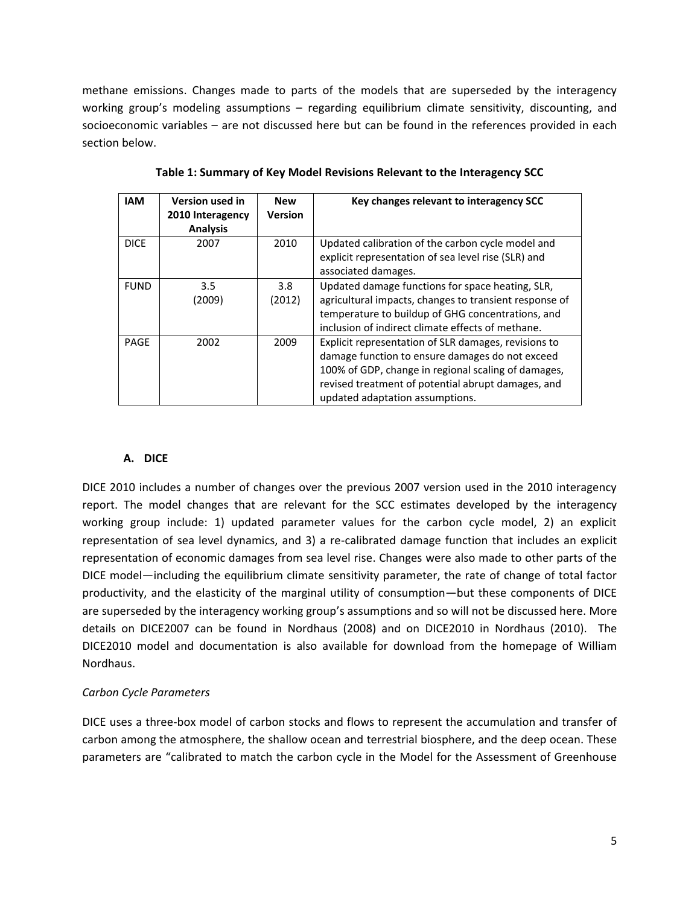methane emissions. Changes made to parts of the models that are superseded by the interagency working group's modeling assumptions – regarding equilibrium climate sensitivity, discounting, and socioeconomic variables – are not discussed here but can be found in the references provided in each section below.

| <b>IAM</b>  | <b>Version used in</b><br>2010 Interagency | <b>New</b><br><b>Version</b> | Key changes relevant to interagency SCC                                                                                                                                                                                                                 |
|-------------|--------------------------------------------|------------------------------|---------------------------------------------------------------------------------------------------------------------------------------------------------------------------------------------------------------------------------------------------------|
|             | <b>Analysis</b>                            |                              |                                                                                                                                                                                                                                                         |
| <b>DICE</b> | 2007                                       | 2010                         | Updated calibration of the carbon cycle model and<br>explicit representation of sea level rise (SLR) and<br>associated damages.                                                                                                                         |
| <b>FUND</b> | 3.5<br>(2009)                              | 3.8<br>(2012)                | Updated damage functions for space heating, SLR,<br>agricultural impacts, changes to transient response of<br>temperature to buildup of GHG concentrations, and<br>inclusion of indirect climate effects of methane.                                    |
| <b>PAGE</b> | 2002                                       | 2009                         | Explicit representation of SLR damages, revisions to<br>damage function to ensure damages do not exceed<br>100% of GDP, change in regional scaling of damages,<br>revised treatment of potential abrupt damages, and<br>updated adaptation assumptions. |

**Table 1: Summary of Key Model Revisions Relevant to the Interagency SCC**

### **A. DICE**

DICE 2010 includes a number of changes over the previous 2007 version used in the 2010 interagency report. The model changes that are relevant for the SCC estimates developed by the interagency working group include: 1) updated parameter values for the carbon cycle model, 2) an explicit representation of sea level dynamics, and 3) a re-calibrated damage function that includes an explicit representation of economic damages from sea level rise. Changes were also made to other parts of the DICE model—including the equilibrium climate sensitivity parameter, the rate of change of total factor productivity, and the elasticity of the marginal utility of consumption—but these components of DICE are superseded by the interagency working group's assumptions and so will not be discussed here. More details on DICE2007 can be found in Nordhaus (2008) and on DICE2010 in Nordhaus (2010). The DICE2010 model and documentation is also available for download from the homepage of William Nordhaus.

#### *Carbon Cycle Parameters*

DICE uses a three-box model of carbon stocks and flows to represent the accumulation and transfer of carbon among the atmosphere, the shallow ocean and terrestrial biosphere, and the deep ocean. These parameters are "calibrated to match the carbon cycle in the Model for the Assessment of Greenhouse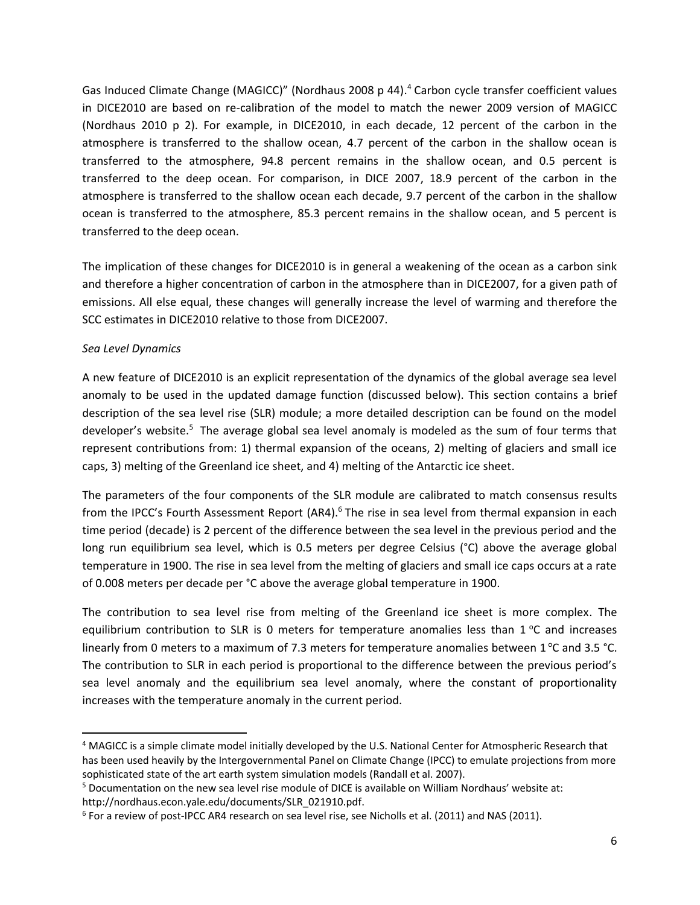Gas Induced Climate Change (MAGICC)" (Nordhaus 2008 p 44).<sup>4</sup> Carbon cycle transfer coefficient values in DICE2010 are based on re-calibration of the model to match the newer 2009 version of MAGICC (Nordhaus 2010 p 2). For example, in DICE2010, in each decade, 12 percent of the carbon in the atmosphere is transferred to the shallow ocean, 4.7 percent of the carbon in the shallow ocean is transferred to the atmosphere, 94.8 percent remains in the shallow ocean, and 0.5 percent is transferred to the deep ocean. For comparison, in DICE 2007, 18.9 percent of the carbon in the atmosphere is transferred to the shallow ocean each decade, 9.7 percent of the carbon in the shallow ocean is transferred to the atmosphere, 85.3 percent remains in the shallow ocean, and 5 percent is transferred to the deep ocean.

The implication of these changes for DICE2010 is in general a weakening of the ocean as a carbon sink and therefore a higher concentration of carbon in the atmosphere than in DICE2007, for a given path of emissions. All else equal, these changes will generally increase the level of warming and therefore the SCC estimates in DICE2010 relative to those from DICE2007.

#### *Sea Level Dynamics*

l

A new feature of DICE2010 is an explicit representation of the dynamics of the global average sea level anomaly to be used in the updated damage function (discussed below). This section contains a brief description of the sea level rise (SLR) module; a more detailed description can be found on the model developer's website.<sup>5</sup> The average global sea level anomaly is modeled as the sum of four terms that represent contributions from: 1) thermal expansion of the oceans, 2) melting of glaciers and small ice caps, 3) melting of the Greenland ice sheet, and 4) melting of the Antarctic ice sheet.

The parameters of the four components of the SLR module are calibrated to match consensus results from the IPCC's Fourth Assessment Report (AR4).<sup>6</sup> The rise in sea level from thermal expansion in each time period (decade) is 2 percent of the difference between the sea level in the previous period and the long run equilibrium sea level, which is 0.5 meters per degree Celsius (°C) above the average global temperature in 1900. The rise in sea level from the melting of glaciers and small ice caps occurs at a rate of 0.008 meters per decade per °C above the average global temperature in 1900.

The contribution to sea level rise from melting of the Greenland ice sheet is more complex. The equilibrium contribution to SLR is 0 meters for temperature anomalies less than  $1^{\circ}$ C and increases linearly from 0 meters to a maximum of 7.3 meters for temperature anomalies between  $1^{\circ}$ C and 3.5 °C. The contribution to SLR in each period is proportional to the difference between the previous period's sea level anomaly and the equilibrium sea level anomaly, where the constant of proportionality increases with the temperature anomaly in the current period.

<sup>&</sup>lt;sup>4</sup> MAGICC is a simple climate model initially developed by the U.S. National Center for Atmospheric Research that has been used heavily by the Intergovernmental Panel on Climate Change (IPCC) to emulate projections from more sophisticated state of the art earth system simulation models (Randall et al. 2007).

<sup>5</sup> Documentation on the new sea level rise module of DICE is available on William Nordhaus' website at: http://nordhaus.econ.yale.edu/documents/SLR\_021910.pdf.

<sup>&</sup>lt;sup>6</sup> For a review of post-IPCC AR4 research on sea level rise, see Nicholls et al. (2011) and NAS (2011).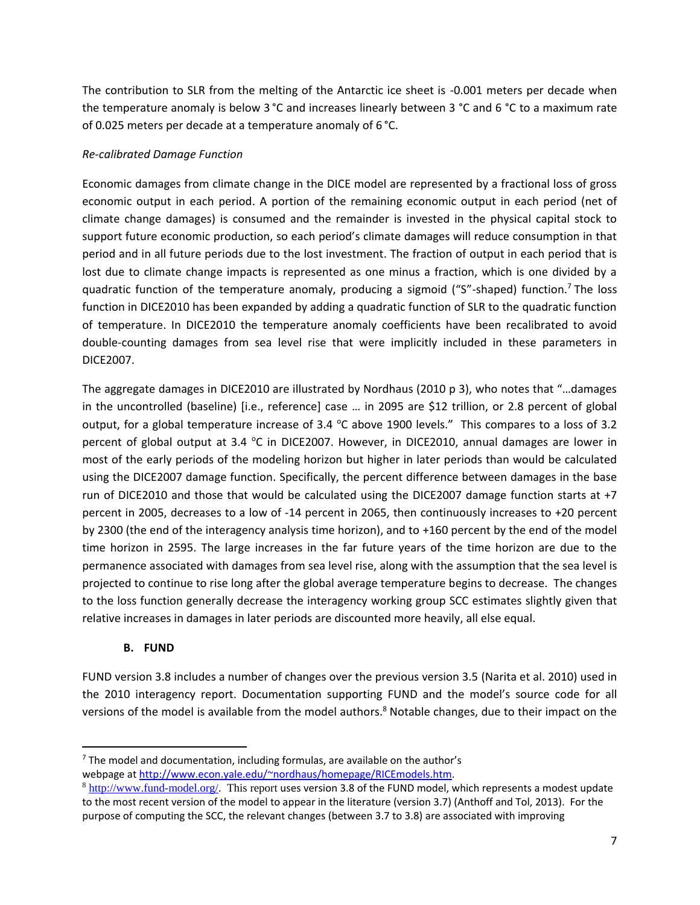The contribution to SLR from the melting of the Antarctic ice sheet is -0.001 meters per decade when the temperature anomaly is below 3 °C and increases linearly between 3 °C and 6 °C to a maximum rate of 0.025 meters per decade at a temperature anomaly of 6 °C.

## *Re-calibrated Damage Function*

Economic damages from climate change in the DICE model are represented by a fractional loss of gross economic output in each period. A portion of the remaining economic output in each period (net of climate change damages) is consumed and the remainder is invested in the physical capital stock to support future economic production, so each period's climate damages will reduce consumption in that period and in all future periods due to the lost investment. The fraction of output in each period that is lost due to climate change impacts is represented as one minus a fraction, which is one divided by a quadratic function of the temperature anomaly, producing a sigmoid ("S"-shaped) function.<sup>7</sup> The loss function in DICE2010 has been expanded by adding a quadratic function of SLR to the quadratic function of temperature. In DICE2010 the temperature anomaly coefficients have been recalibrated to avoid double-counting damages from sea level rise that were implicitly included in these parameters in DICE2007.

The aggregate damages in DICE2010 are illustrated by Nordhaus (2010 p 3), who notes that "…damages in the uncontrolled (baseline) [i.e., reference] case … in 2095 are \$12 trillion, or 2.8 percent of global output, for a global temperature increase of 3.4  $^{\circ}$ C above 1900 levels." This compares to a loss of 3.2 percent of global output at 3.4  $\degree$ C in DICE2007. However, in DICE2010, annual damages are lower in most of the early periods of the modeling horizon but higher in later periods than would be calculated using the DICE2007 damage function. Specifically, the percent difference between damages in the base run of DICE2010 and those that would be calculated using the DICE2007 damage function starts at +7 percent in 2005, decreases to a low of -14 percent in 2065, then continuously increases to +20 percent by 2300 (the end of the interagency analysis time horizon), and to +160 percent by the end of the model time horizon in 2595. The large increases in the far future years of the time horizon are due to the permanence associated with damages from sea level rise, along with the assumption that the sea level is projected to continue to rise long after the global average temperature begins to decrease. The changes to the loss function generally decrease the interagency working group SCC estimates slightly given that relative increases in damages in later periods are discounted more heavily, all else equal.

## **B. FUND**

 $\overline{\phantom{a}}$ 

FUND version 3.8 includes a number of changes over the previous version 3.5 (Narita et al. 2010) used in the 2010 interagency report. Documentation supporting FUND and the model's source code for all versions of the model is available from the model authors.<sup>8</sup> Notable changes, due to their impact on the

 $<sup>7</sup>$  The model and documentation, including formulas, are available on the author's</sup> webpage at [http://www.econ.yale.edu/~nordhaus/homepage/RICEmodels.htm.](http://www.econ.yale.edu/~nordhaus/homepage/RICEmodels.htm) 

<sup>8</sup> [http://www.fund-model.org/.](http://www.fund-model.org/) This report uses version 3.8 of the FUND model, which represents a modest update to the most recent version of the model to appear in the literature (version 3.7) (Anthoff and Tol, 2013). For the purpose of computing the SCC, the relevant changes (between 3.7 to 3.8) are associated with improving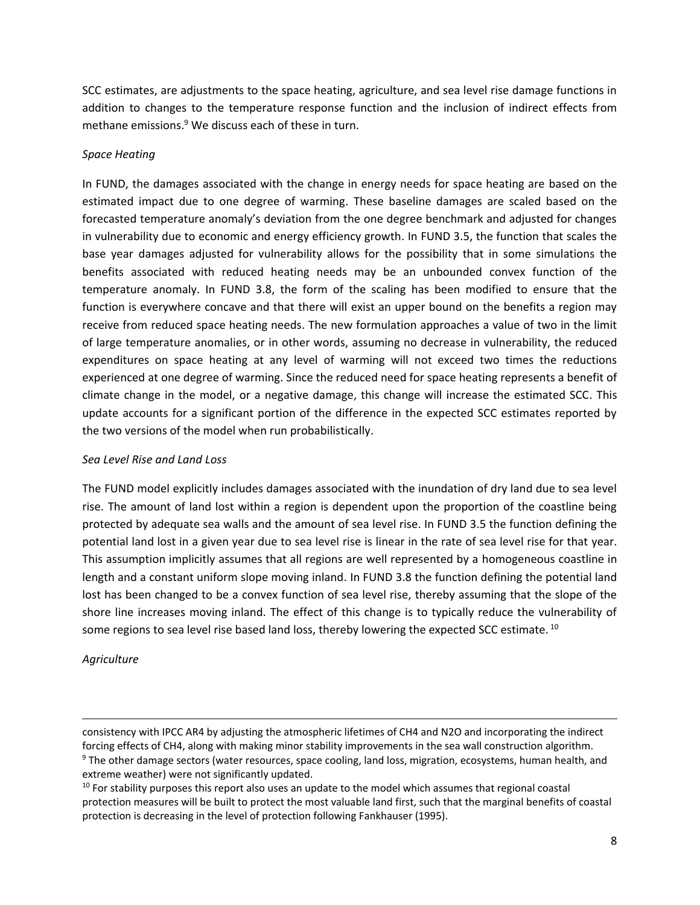SCC estimates, are adjustments to the space heating, agriculture, and sea level rise damage functions in addition to changes to the temperature response function and the inclusion of indirect effects from methane emissions.<sup>9</sup> We discuss each of these in turn.

#### *Space Heating*

In FUND, the damages associated with the change in energy needs for space heating are based on the estimated impact due to one degree of warming. These baseline damages are scaled based on the forecasted temperature anomaly's deviation from the one degree benchmark and adjusted for changes in vulnerability due to economic and energy efficiency growth. In FUND 3.5, the function that scales the base year damages adjusted for vulnerability allows for the possibility that in some simulations the benefits associated with reduced heating needs may be an unbounded convex function of the temperature anomaly. In FUND 3.8, the form of the scaling has been modified to ensure that the function is everywhere concave and that there will exist an upper bound on the benefits a region may receive from reduced space heating needs. The new formulation approaches a value of two in the limit of large temperature anomalies, or in other words, assuming no decrease in vulnerability, the reduced expenditures on space heating at any level of warming will not exceed two times the reductions experienced at one degree of warming. Since the reduced need for space heating represents a benefit of climate change in the model, or a negative damage, this change will increase the estimated SCC. This update accounts for a significant portion of the difference in the expected SCC estimates reported by the two versions of the model when run probabilistically.

#### *Sea Level Rise and Land Loss*

The FUND model explicitly includes damages associated with the inundation of dry land due to sea level rise. The amount of land lost within a region is dependent upon the proportion of the coastline being protected by adequate sea walls and the amount of sea level rise. In FUND 3.5 the function defining the potential land lost in a given year due to sea level rise is linear in the rate of sea level rise for that year. This assumption implicitly assumes that all regions are well represented by a homogeneous coastline in length and a constant uniform slope moving inland. In FUND 3.8 the function defining the potential land lost has been changed to be a convex function of sea level rise, thereby assuming that the slope of the shore line increases moving inland. The effect of this change is to typically reduce the vulnerability of some regions to sea level rise based land loss, thereby lowering the expected SCC estimate.  $^{10}$ 

#### *Agriculture*

 $\overline{\phantom{a}}$ 

consistency with IPCC AR4 by adjusting the atmospheric lifetimes of CH4 and N2O and incorporating the indirect forcing effects of CH4, along with making minor stability improvements in the sea wall construction algorithm. <sup>9</sup> The other damage sectors (water resources, space cooling, land loss, migration, ecosystems, human health, and

extreme weather) were not significantly updated.

 $10$  For stability purposes this report also uses an update to the model which assumes that regional coastal protection measures will be built to protect the most valuable land first, such that the marginal benefits of coastal protection is decreasing in the level of protection following Fankhauser (1995).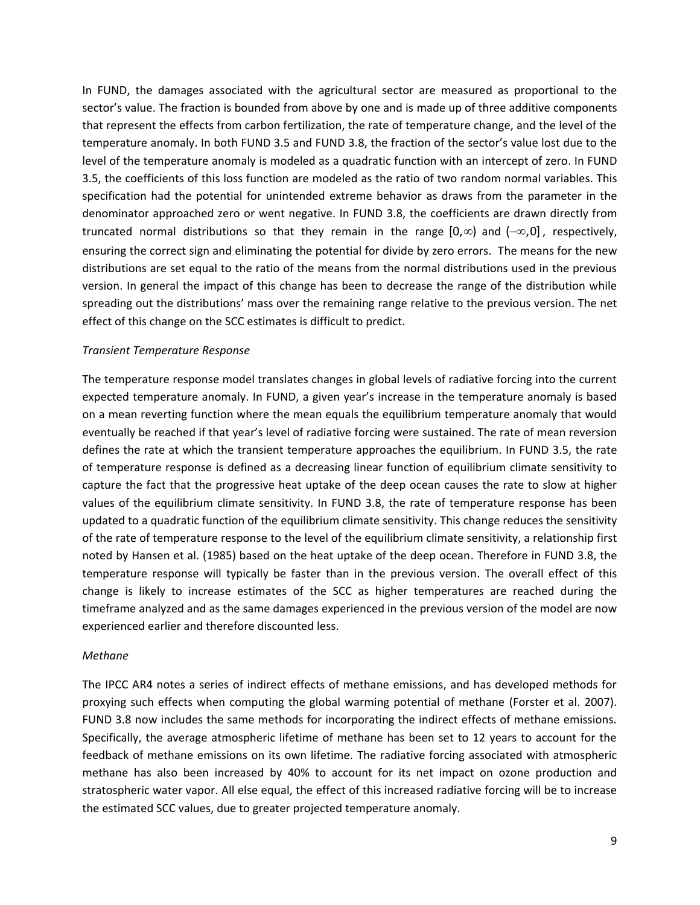In FUND, the damages associated with the agricultural sector are measured as proportional to the sector's value. The fraction is bounded from above by one and is made up of three additive components that represent the effects from carbon fertilization, the rate of temperature change, and the level of the temperature anomaly. In both FUND 3.5 and FUND 3.8, the fraction of the sector's value lost due to the level of the temperature anomaly is modeled as a quadratic function with an intercept of zero. In FUND 3.5, the coefficients of this loss function are modeled as the ratio of two random normal variables. This specification had the potential for unintended extreme behavior as draws from the parameter in the denominator approached zero or went negative. In FUND 3.8, the coefficients are drawn directly from truncated normal distributions so that they remain in the range  $[0,\infty)$  and  $(-\infty,0]$ , respectively, ensuring the correct sign and eliminating the potential for divide by zero errors. The means for the new distributions are set equal to the ratio of the means from the normal distributions used in the previous version. In general the impact of this change has been to decrease the range of the distribution while spreading out the distributions' mass over the remaining range relative to the previous version. The net effect of this change on the SCC estimates is difficult to predict.

#### *Transient Temperature Response*

The temperature response model translates changes in global levels of radiative forcing into the current expected temperature anomaly. In FUND, a given year's increase in the temperature anomaly is based on a mean reverting function where the mean equals the equilibrium temperature anomaly that would eventually be reached if that year's level of radiative forcing were sustained. The rate of mean reversion defines the rate at which the transient temperature approaches the equilibrium. In FUND 3.5, the rate of temperature response is defined as a decreasing linear function of equilibrium climate sensitivity to capture the fact that the progressive heat uptake of the deep ocean causes the rate to slow at higher values of the equilibrium climate sensitivity. In FUND 3.8, the rate of temperature response has been updated to a quadratic function of the equilibrium climate sensitivity. This change reduces the sensitivity of the rate of temperature response to the level of the equilibrium climate sensitivity, a relationship first noted by Hansen et al. (1985) based on the heat uptake of the deep ocean. Therefore in FUND 3.8, the temperature response will typically be faster than in the previous version. The overall effect of this change is likely to increase estimates of the SCC as higher temperatures are reached during the timeframe analyzed and as the same damages experienced in the previous version of the model are now experienced earlier and therefore discounted less.

#### *Methane*

The IPCC AR4 notes a series of indirect effects of methane emissions, and has developed methods for proxying such effects when computing the global warming potential of methane (Forster et al. 2007). FUND 3.8 now includes the same methods for incorporating the indirect effects of methane emissions. Specifically, the average atmospheric lifetime of methane has been set to 12 years to account for the feedback of methane emissions on its own lifetime. The radiative forcing associated with atmospheric methane has also been increased by 40% to account for its net impact on ozone production and stratospheric water vapor. All else equal, the effect of this increased radiative forcing will be to increase the estimated SCC values, due to greater projected temperature anomaly.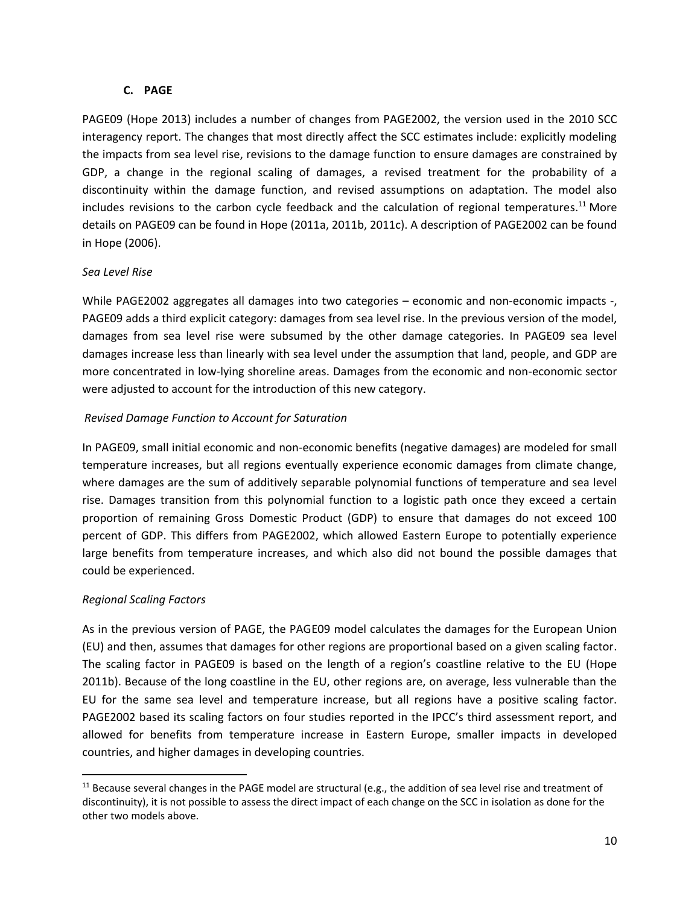### **C. PAGE**

PAGE09 (Hope 2013) includes a number of changes from PAGE2002, the version used in the 2010 SCC interagency report. The changes that most directly affect the SCC estimates include: explicitly modeling the impacts from sea level rise, revisions to the damage function to ensure damages are constrained by GDP, a change in the regional scaling of damages, a revised treatment for the probability of a discontinuity within the damage function, and revised assumptions on adaptation. The model also includes revisions to the carbon cycle feedback and the calculation of regional temperatures.<sup>11</sup> More details on PAGE09 can be found in Hope (2011a, 2011b, 2011c). A description of PAGE2002 can be found in Hope (2006).

## *Sea Level Rise*

While PAGE2002 aggregates all damages into two categories – economic and non-economic impacts -, PAGE09 adds a third explicit category: damages from sea level rise. In the previous version of the model, damages from sea level rise were subsumed by the other damage categories. In PAGE09 sea level damages increase less than linearly with sea level under the assumption that land, people, and GDP are more concentrated in low-lying shoreline areas. Damages from the economic and non-economic sector were adjusted to account for the introduction of this new category.

## *Revised Damage Function to Account for Saturation*

In PAGE09, small initial economic and non-economic benefits (negative damages) are modeled for small temperature increases, but all regions eventually experience economic damages from climate change, where damages are the sum of additively separable polynomial functions of temperature and sea level rise. Damages transition from this polynomial function to a logistic path once they exceed a certain proportion of remaining Gross Domestic Product (GDP) to ensure that damages do not exceed 100 percent of GDP. This differs from PAGE2002, which allowed Eastern Europe to potentially experience large benefits from temperature increases, and which also did not bound the possible damages that could be experienced.

## *Regional Scaling Factors*

 $\overline{\phantom{a}}$ 

As in the previous version of PAGE, the PAGE09 model calculates the damages for the European Union (EU) and then, assumes that damages for other regions are proportional based on a given scaling factor. The scaling factor in PAGE09 is based on the length of a region's coastline relative to the EU (Hope 2011b). Because of the long coastline in the EU, other regions are, on average, less vulnerable than the EU for the same sea level and temperature increase, but all regions have a positive scaling factor. PAGE2002 based its scaling factors on four studies reported in the IPCC's third assessment report, and allowed for benefits from temperature increase in Eastern Europe, smaller impacts in developed countries, and higher damages in developing countries.

 $11$  Because several changes in the PAGE model are structural (e.g., the addition of sea level rise and treatment of discontinuity), it is not possible to assess the direct impact of each change on the SCC in isolation as done for the other two models above.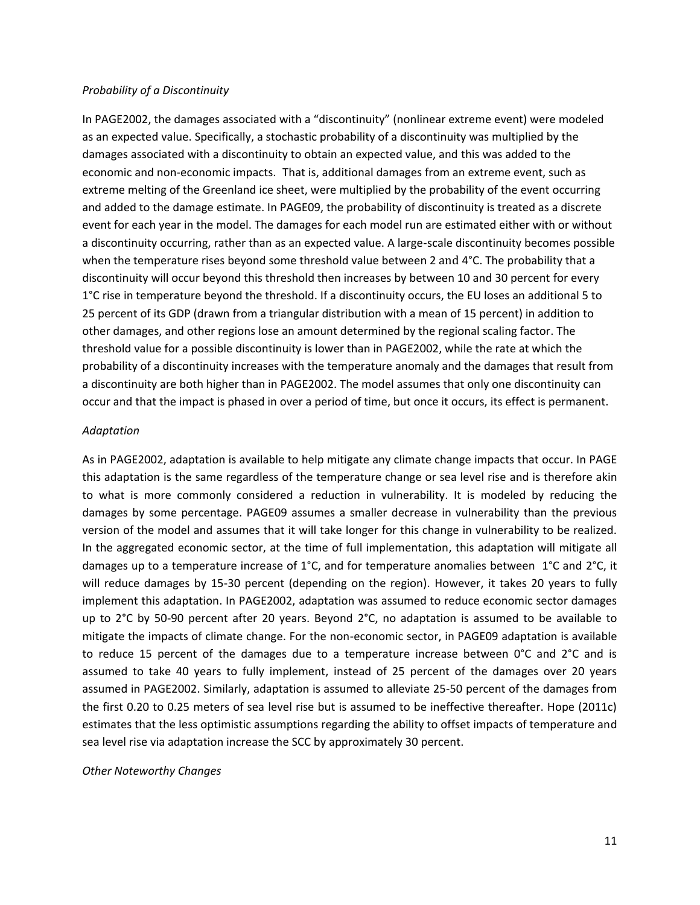#### *Probability of a Discontinuity*

In PAGE2002, the damages associated with a "discontinuity" (nonlinear extreme event) were modeled as an expected value. Specifically, a stochastic probability of a discontinuity was multiplied by the damages associated with a discontinuity to obtain an expected value, and this was added to the economic and non-economic impacts. That is, additional damages from an extreme event, such as extreme melting of the Greenland ice sheet, were multiplied by the probability of the event occurring and added to the damage estimate. In PAGE09, the probability of discontinuity is treated as a discrete event for each year in the model. The damages for each model run are estimated either with or without a discontinuity occurring, rather than as an expected value. A large‐scale discontinuity becomes possible when the temperature rises beyond some threshold value between 2 and 4°C. The probability that a discontinuity will occur beyond this threshold then increases by between 10 and 30 percent for every 1°C rise in temperature beyond the threshold. If a discontinuity occurs, the EU loses an additional 5 to 25 percent of its GDP (drawn from a triangular distribution with a mean of 15 percent) in addition to other damages, and other regions lose an amount determined by the regional scaling factor. The threshold value for a possible discontinuity is lower than in PAGE2002, while the rate at which the probability of a discontinuity increases with the temperature anomaly and the damages that result from a discontinuity are both higher than in PAGE2002. The model assumes that only one discontinuity can occur and that the impact is phased in over a period of time, but once it occurs, its effect is permanent.

#### *Adaptation*

As in PAGE2002, adaptation is available to help mitigate any climate change impacts that occur. In PAGE this adaptation is the same regardless of the temperature change or sea level rise and is therefore akin to what is more commonly considered a reduction in vulnerability. It is modeled by reducing the damages by some percentage. PAGE09 assumes a smaller decrease in vulnerability than the previous version of the model and assumes that it will take longer for this change in vulnerability to be realized. In the aggregated economic sector, at the time of full implementation, this adaptation will mitigate all damages up to a temperature increase of 1°C, and for temperature anomalies between 1°C and 2°C, it will reduce damages by 15-30 percent (depending on the region). However, it takes 20 years to fully implement this adaptation. In PAGE2002, adaptation was assumed to reduce economic sector damages up to 2°C by 50-90 percent after 20 years. Beyond 2°C, no adaptation is assumed to be available to mitigate the impacts of climate change. For the non-economic sector, in PAGE09 adaptation is available to reduce 15 percent of the damages due to a temperature increase between 0°C and 2°C and is assumed to take 40 years to fully implement, instead of 25 percent of the damages over 20 years assumed in PAGE2002. Similarly, adaptation is assumed to alleviate 25-50 percent of the damages from the first 0.20 to 0.25 meters of sea level rise but is assumed to be ineffective thereafter. Hope (2011c) estimates that the less optimistic assumptions regarding the ability to offset impacts of temperature and sea level rise via adaptation increase the SCC by approximately 30 percent.

#### *Other Noteworthy Changes*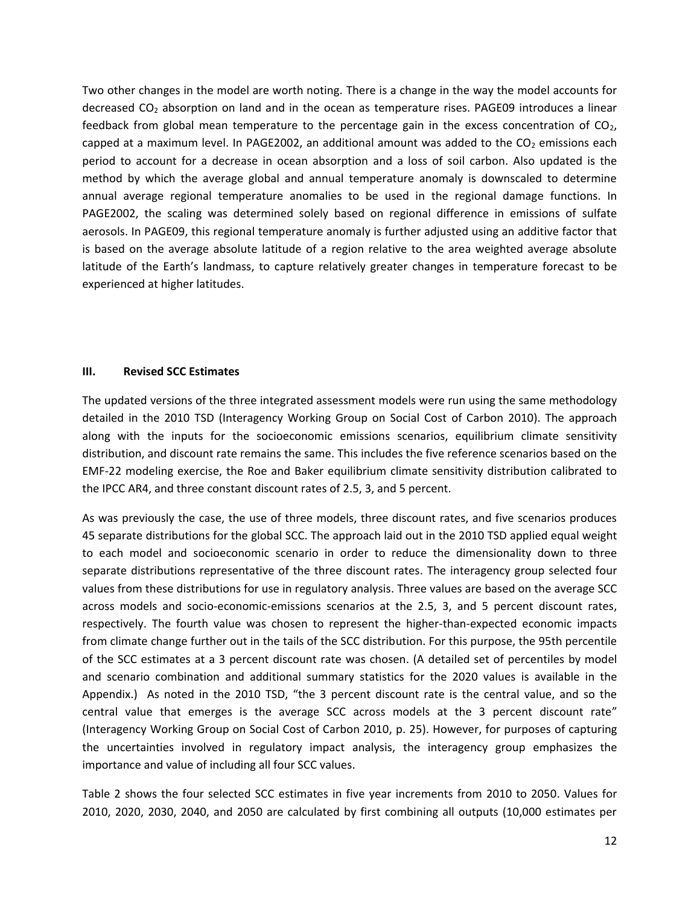Two other changes in the model are worth noting. There is a change in the way the model accounts for decreased CO<sub>2</sub> absorption on land and in the ocean as temperature rises. PAGE09 introduces a linear feedback from global mean temperature to the percentage gain in the excess concentration of  $CO<sub>2</sub>$ , capped at a maximum level. In PAGE2002, an additional amount was added to the  $CO<sub>2</sub>$  emissions each period to account for a decrease in ocean absorption and a loss of soil carbon. Also updated is the method by which the average global and annual temperature anomaly is downscaled to determine annual average regional temperature anomalies to be used in the regional damage functions. In PAGE2002, the scaling was determined solely based on regional difference in emissions of sulfate aerosols. In PAGE09, this regional temperature anomaly is further adjusted using an additive factor that is based on the average absolute latitude of a region relative to the area weighted average absolute latitude of the Earth's landmass, to capture relatively greater changes in temperature forecast to be experienced at higher latitudes.

#### **III. Revised SCC Estimates**

The updated versions of the three integrated assessment models were run using the same methodology detailed in the 2010 TSD (Interagency Working Group on Social Cost of Carbon 2010). The approach along with the inputs for the socioeconomic emissions scenarios, equilibrium climate sensitivity distribution, and discount rate remains the same. This includes the five reference scenarios based on the EMF-22 modeling exercise, the Roe and Baker equilibrium climate sensitivity distribution calibrated to the IPCC AR4, and three constant discount rates of 2.5, 3, and 5 percent.

As was previously the case, the use of three models, three discount rates, and five scenarios produces 45 separate distributions for the global SCC. The approach laid out in the 2010 TSD applied equal weight to each model and socioeconomic scenario in order to reduce the dimensionality down to three separate distributions representative of the three discount rates. The interagency group selected four values from these distributions for use in regulatory analysis. Three values are based on the average SCC across models and socio-economic-emissions scenarios at the 2.5, 3, and 5 percent discount rates, respectively. The fourth value was chosen to represent the higher-than-expected economic impacts from climate change further out in the tails of the SCC distribution. For this purpose, the 95th percentile of the SCC estimates at a 3 percent discount rate was chosen. (A detailed set of percentiles by model and scenario combination and additional summary statistics for the 2020 values is available in the Appendix.) As noted in the 2010 TSD, "the 3 percent discount rate is the central value, and so the central value that emerges is the average SCC across models at the 3 percent discount rate" (Interagency Working Group on Social Cost of Carbon 2010, p. 25). However, for purposes of capturing the uncertainties involved in regulatory impact analysis, the interagency group emphasizes the importance and value of including all four SCC values.

Table 2 shows the four selected SCC estimates in five year increments from 2010 to 2050. Values for 2010, 2020, 2030, 2040, and 2050 are calculated by first combining all outputs (10,000 estimates per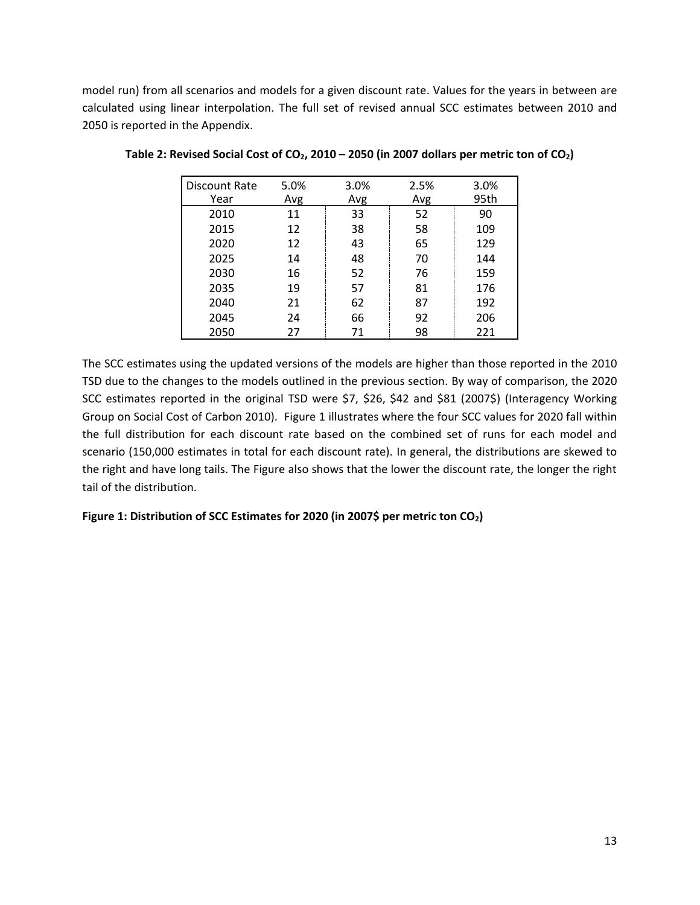model run) from all scenarios and models for a given discount rate. Values for the years in between are calculated using linear interpolation. The full set of revised annual SCC estimates between 2010 and 2050 is reported in the Appendix.

| Discount Rate<br>Year | 5.0%<br>Avg | 3.0%<br>Avg | 2.5%<br>Avg | 3.0%<br>95th |
|-----------------------|-------------|-------------|-------------|--------------|
| 2010                  | 11          | 33          | 52          | 90           |
| 2015                  | 12          | 38          | 58          | 109          |
| 2020                  | 12          | 43          | 65          | 129          |
| 2025                  | 14          | 48          | 70          | 144          |
| 2030                  | 16          | 52          | 76          | 159          |
| 2035                  | 19          | 57          | 81          | 176          |
| 2040                  | 21          | 62          | 87          | 192          |
| 2045                  | 24          | 66          | 92          | 206          |
| 2050                  | 27          | 71          | 98          | 221          |

**Table 2: Revised Social Cost of CO2, 2010 – 2050 (in 2007 dollars per metric ton of CO2)**

The SCC estimates using the updated versions of the models are higher than those reported in the 2010 TSD due to the changes to the models outlined in the previous section. By way of comparison, the 2020 SCC estimates reported in the original TSD were \$7, \$26, \$42 and \$81 (2007\$) (Interagency Working Group on Social Cost of Carbon 2010). Figure 1 illustrates where the four SCC values for 2020 fall within the full distribution for each discount rate based on the combined set of runs for each model and scenario (150,000 estimates in total for each discount rate). In general, the distributions are skewed to the right and have long tails. The Figure also shows that the lower the discount rate, the longer the right tail of the distribution.

**Figure 1: Distribution of SCC Estimates for 2020 (in 2007\$ per metric ton CO2)**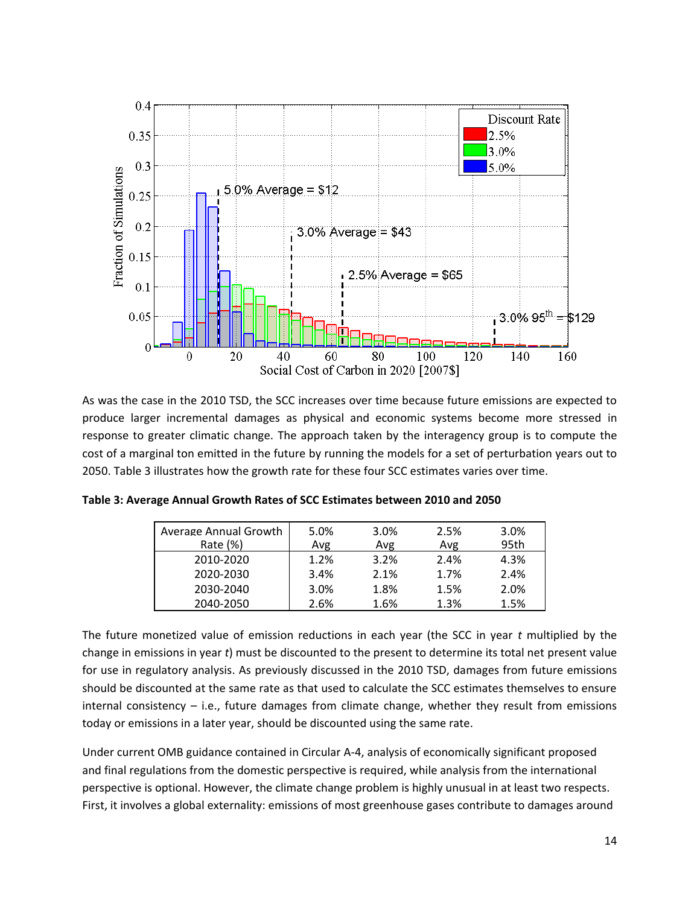

As was the case in the 2010 TSD, the SCC increases over time because future emissions are expected to produce larger incremental damages as physical and economic systems become more stressed in response to greater climatic change. The approach taken by the interagency group is to compute the cost of a marginal ton emitted in the future by running the models for a set of perturbation years out to 2050. Table 3 illustrates how the growth rate for these four SCC estimates varies over time.

| Average Annual Growth | 5.0% | 3.0% | 2.5% | 3.0% |
|-----------------------|------|------|------|------|
| Rate (%)              | Avg  | Avg  | Avg  | 95th |
| 2010-2020             | 1.2% | 3.2% | 2.4% | 4.3% |
| 2020-2030             | 3.4% | 2.1% | 1.7% | 2.4% |
| 2030-2040             | 3.0% | 1.8% | 1.5% | 2.0% |
| 2040-2050             | 2.6% | 1.6% | 1.3% | 1.5% |

|  | Table 3: Average Annual Growth Rates of SCC Estimates between 2010 and 2050 |
|--|-----------------------------------------------------------------------------|
|--|-----------------------------------------------------------------------------|

The future monetized value of emission reductions in each year (the SCC in year *t* multiplied by the change in emissions in year *t*) must be discounted to the present to determine its total net present value for use in regulatory analysis. As previously discussed in the 2010 TSD, damages from future emissions should be discounted at the same rate as that used to calculate the SCC estimates themselves to ensure internal consistency  $-$  i.e., future damages from climate change, whether they result from emissions today or emissions in a later year, should be discounted using the same rate.

Under current OMB guidance contained in Circular A-4, analysis of economically significant proposed and final regulations from the domestic perspective is required, while analysis from the international perspective is optional. However, the climate change problem is highly unusual in at least two respects. First, it involves a global externality: emissions of most greenhouse gases contribute to damages around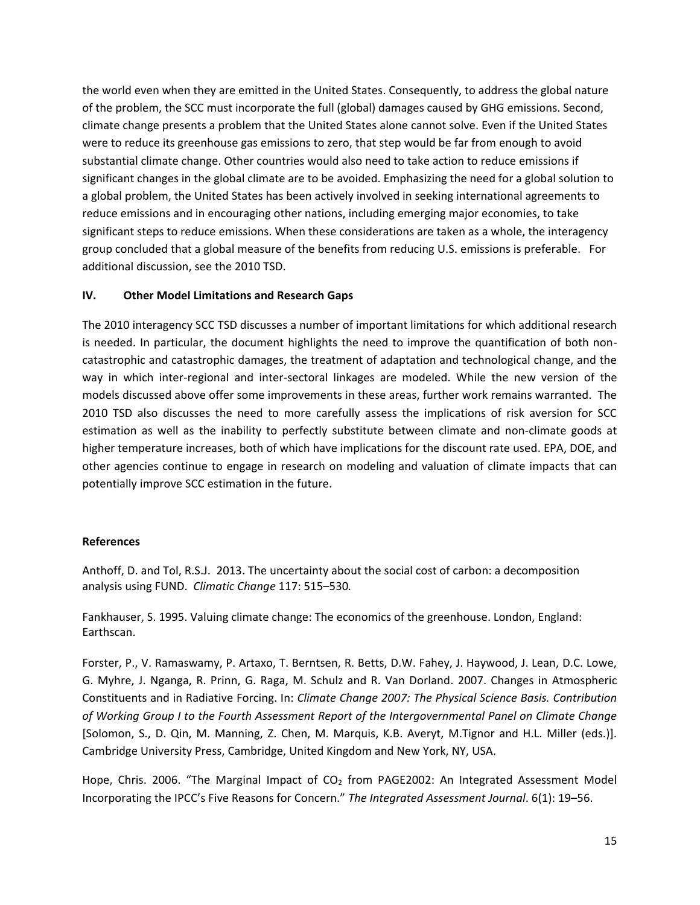the world even when they are emitted in the United States. Consequently, to address the global nature of the problem, the SCC must incorporate the full (global) damages caused by GHG emissions. Second, climate change presents a problem that the United States alone cannot solve. Even if the United States were to reduce its greenhouse gas emissions to zero, that step would be far from enough to avoid substantial climate change. Other countries would also need to take action to reduce emissions if significant changes in the global climate are to be avoided. Emphasizing the need for a global solution to a global problem, the United States has been actively involved in seeking international agreements to reduce emissions and in encouraging other nations, including emerging major economies, to take significant steps to reduce emissions. When these considerations are taken as a whole, the interagency group concluded that a global measure of the benefits from reducing U.S. emissions is preferable. For additional discussion, see the 2010 TSD.

#### **IV. Other Model Limitations and Research Gaps**

The 2010 interagency SCC TSD discusses a number of important limitations for which additional research is needed. In particular, the document highlights the need to improve the quantification of both noncatastrophic and catastrophic damages, the treatment of adaptation and technological change, and the way in which inter-regional and inter-sectoral linkages are modeled. While the new version of the models discussed above offer some improvements in these areas, further work remains warranted. The 2010 TSD also discusses the need to more carefully assess the implications of risk aversion for SCC estimation as well as the inability to perfectly substitute between climate and non-climate goods at higher temperature increases, both of which have implications for the discount rate used. EPA, DOE, and other agencies continue to engage in research on modeling and valuation of climate impacts that can potentially improve SCC estimation in the future.

#### **References**

Anthoff, D. and Tol, R.S.J. 2013. The uncertainty about the social cost of carbon: a decomposition analysis using FUND. *Climatic Change* 117: 515–530*.*

Fankhauser, S. 1995. Valuing climate change: The economics of the greenhouse. London, England: Earthscan.

Forster, P., V. Ramaswamy, P. Artaxo, T. Berntsen, R. Betts, D.W. Fahey, J. Haywood, J. Lean, D.C. Lowe, G. Myhre, J. Nganga, R. Prinn, G. Raga, M. Schulz and R. Van Dorland. 2007. Changes in Atmospheric Constituents and in Radiative Forcing. In: *Climate Change 2007: The Physical Science Basis. Contribution of Working Group I to the Fourth Assessment Report of the Intergovernmental Panel on Climate Change*  [Solomon, S., D. Qin, M. Manning, Z. Chen, M. Marquis, K.B. Averyt, M.Tignor and H.L. Miller (eds.)]. Cambridge University Press, Cambridge, United Kingdom and New York, NY, USA.

Hope, Chris. 2006. "The Marginal Impact of  $CO<sub>2</sub>$  from PAGE2002: An Integrated Assessment Model Incorporating the IPCC's Five Reasons for Concern." *The Integrated Assessment Journal*. 6(1): 19–56.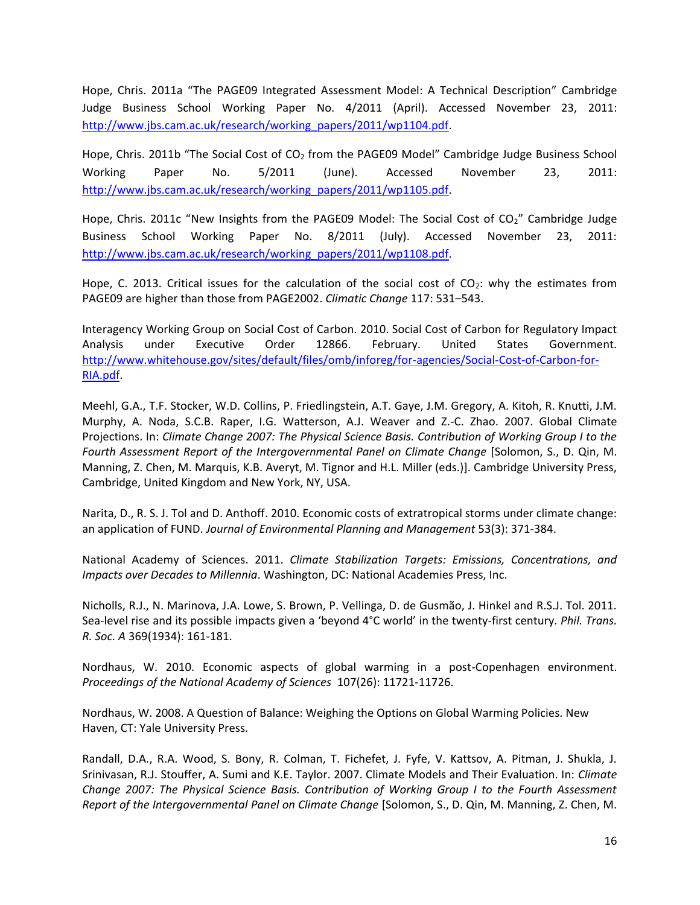Hope, Chris. 2011a "The PAGE09 Integrated Assessment Model: A Technical Description" Cambridge Judge Business School Working Paper No. 4/2011 (April). Accessed November 23, 2011: [http://www.jbs.cam.ac.uk/research/working\\_papers/2011/wp1104.pdf.](http://www.jbs.cam.ac.uk/research/working_papers/2011/wp1104.pdf)

Hope, Chris. 2011b "The Social Cost of CO<sub>2</sub> from the PAGE09 Model" Cambridge Judge Business School Working Paper No. 5/2011 (June). Accessed November 23, 2011: [http://www.jbs.cam.ac.uk/research/working\\_papers/2011/wp1105.pdf.](http://www.jbs.cam.ac.uk/research/working_papers/2011/wp1105.pdf)

Hope, Chris. 2011c "New Insights from the PAGE09 Model: The Social Cost of CO<sub>2</sub>" Cambridge Judge Business School Working Paper No. 8/2011 (July). Accessed November 23, 2011: [http://www.jbs.cam.ac.uk/research/working\\_papers/2011/wp1108.pdf.](http://www.jbs.cam.ac.uk/research/working_papers/2011/wp1108.pdf)

Hope, C. 2013. Critical issues for the calculation of the social cost of  $CO<sub>2</sub>$ : why the estimates from PAGE09 are higher than those from PAGE2002. *Climatic Change* 117: 531–543.

Interagency Working Group on Social Cost of Carbon. 2010. Social Cost of Carbon for Regulatory Impact Analysis under Executive Order 12866. February. United States Government. [http://www.whitehouse.gov/sites/default/files/omb/inforeg/for-agencies/Social-Cost-of-Carbon-for-](http://www.whitehouse.gov/sites/default/files/omb/inforeg/for-agencies/Social-Cost-of-Carbon-for-RIA.pdf)[RIA.pdf.](http://www.whitehouse.gov/sites/default/files/omb/inforeg/for-agencies/Social-Cost-of-Carbon-for-RIA.pdf)

Meehl, G.A., T.F. Stocker, W.D. Collins, P. Friedlingstein, A.T. Gaye, J.M. Gregory, A. Kitoh, R. Knutti, J.M. Murphy, A. Noda, S.C.B. Raper, I.G. Watterson, A.J. Weaver and Z.-C. Zhao. 2007. Global Climate Projections. In: *Climate Change 2007: The Physical Science Basis. Contribution of Working Group I to the Fourth Assessment Report of the Intergovernmental Panel on Climate Change* [Solomon, S., D. Qin, M. Manning, Z. Chen, M. Marquis, K.B. Averyt, M. Tignor and H.L. Miller (eds.)]. Cambridge University Press, Cambridge, United Kingdom and New York, NY, USA.

Narita, D., R. S. J. Tol and D. Anthoff. 2010. Economic costs of extratropical storms under climate change: an application of FUND. *Journal of Environmental Planning and Management* 53(3): 371-384.

National Academy of Sciences. 2011. *Climate Stabilization Targets: Emissions, Concentrations, and Impacts over Decades to Millennia*. Washington, DC: National Academies Press, Inc.

Nicholls, R.J., N. Marinova, J.A. Lowe, S. Brown, P. Vellinga, D. de Gusmão, J. Hinkel and R.S.J. Tol. 2011. Sea-level rise and its possible impacts given a 'beyond 4°C world' in the twenty-first century. *Phil. Trans. R. Soc. A* 369(1934): 161-181.

Nordhaus, W. 2010. Economic aspects of global warming in a post-Copenhagen environment. *Proceedings of the National Academy of Sciences* 107(26): 11721-11726.

Nordhaus, W. 2008. A Question of Balance: Weighing the Options on Global Warming Policies. New Haven, CT: Yale University Press.

Randall, D.A., R.A. Wood, S. Bony, R. Colman, T. Fichefet, J. Fyfe, V. Kattsov, A. Pitman, J. Shukla, J. Srinivasan, R.J. Stouffer, A. Sumi and K.E. Taylor. 2007. Climate Models and Their Evaluation. In: *Climate Change 2007: The Physical Science Basis. Contribution of Working Group I to the Fourth Assessment Report of the Intergovernmental Panel on Climate Change* [Solomon, S., D. Qin, M. Manning, Z. Chen, M.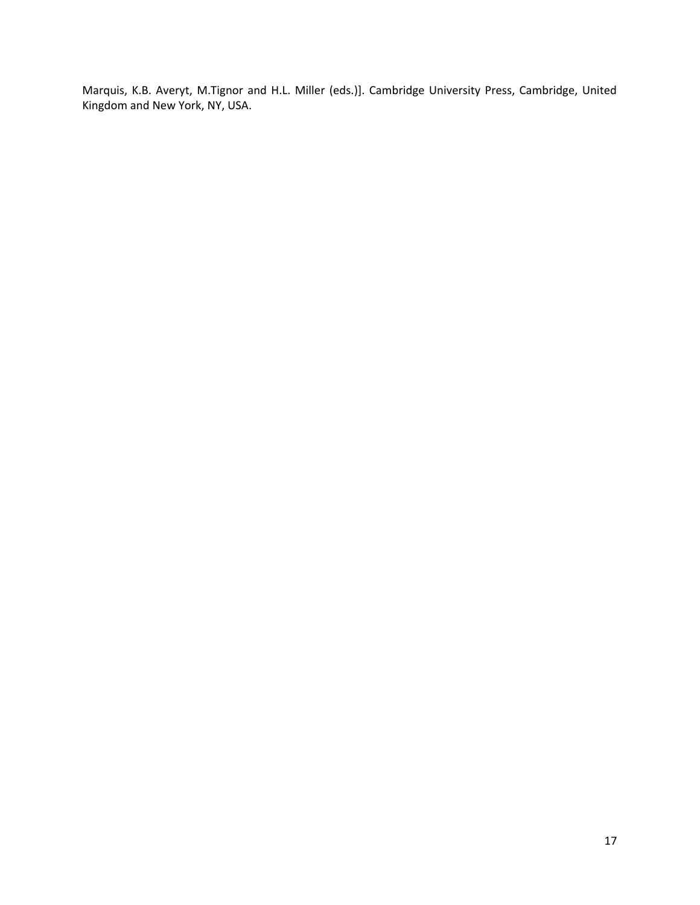Marquis, K.B. Averyt, M.Tignor and H.L. Miller (eds.)]. Cambridge University Press, Cambridge, United Kingdom and New York, NY, USA.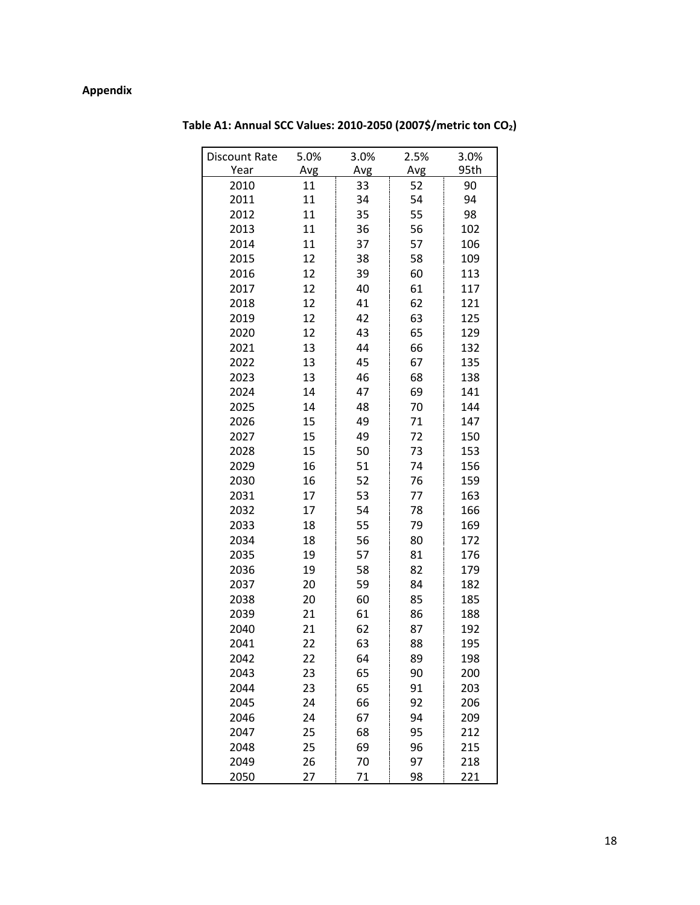# **Appendix**

| <b>Discount Rate</b> | 5.0% | 3.0%       | 2.5%       | 3.0% |
|----------------------|------|------------|------------|------|
| Year                 | Avg  | <b>Avg</b> | <b>Avg</b> | 95th |
| 2010                 | 11   | 33         | 52         | 90   |
| 2011                 | 11   | 34         | 54         | 94   |
| 2012                 | 11   | 35         | 55         | 98   |
| 2013                 | 11   | 36         | 56         | 102  |
| 2014                 | 11   | 37         | 57         | 106  |
| 2015                 | 12   | 38         | 58         | 109  |
| 2016                 | 12   | 39         | 60         | 113  |
| 2017                 | 12   | 40         | 61         | 117  |
| 2018                 | 12   | 41         | 62         | 121  |
| 2019                 | 12   | 42         | 63         | 125  |
| 2020                 | 12   | 43         | 65         | 129  |
| 2021                 | 13   | 44         | 66         | 132  |
| 2022                 | 13   | 45         | 67         | 135  |
| 2023                 | 13   | 46         | 68         | 138  |
| 2024                 | 14   | 47         | 69         | 141  |
| 2025                 | 14   | 48         | 70         | 144  |
| 2026                 | 15   | 49         | 71         | 147  |
| 2027                 | 15   | 49         | 72         | 150  |
| 2028                 | 15   | 50         | 73         | 153  |
| 2029                 | 16   | 51         | 74         | 156  |
| 2030                 | 16   | 52         | 76         | 159  |
| 2031                 | 17   | 53         | 77         | 163  |
| 2032                 | 17   | 54         | 78         | 166  |
| 2033                 | 18   | 55         | 79         | 169  |
| 2034                 | 18   | 56         | 80         | 172  |
| 2035                 | 19   | 57         | 81         | 176  |
| 2036                 | 19   | 58         | 82         | 179  |
| 2037                 | 20   | 59         | 84         | 182  |
| 2038                 | 20   | 60         | 85         | 185  |
| 2039                 | 21   | 61         | 86         | 188  |
| 2040                 | 21   | 62         | 87         | 192  |
| 2041                 | 22   | 63         | 88         | 195  |
| 2042                 | 22   | 64         | 89         | 198  |
| 2043                 | 23   | 65         | 90         | 200  |
| 2044                 | 23   | 65         | 91         | 203  |
| 2045                 | 24   | 66         | 92         | 206  |
| 2046                 | 24   | 67         | 94         | 209  |
| 2047                 | 25   | 68         | 95         | 212  |
| 2048                 | 25   | 69         | 96         | 215  |
| 2049                 | 26   | 70         | 97         | 218  |
| 2050                 | 27   | 71         | 98         | 221  |

**Table A1: Annual SCC Values: 2010-2050 (2007\$/metric ton CO2)**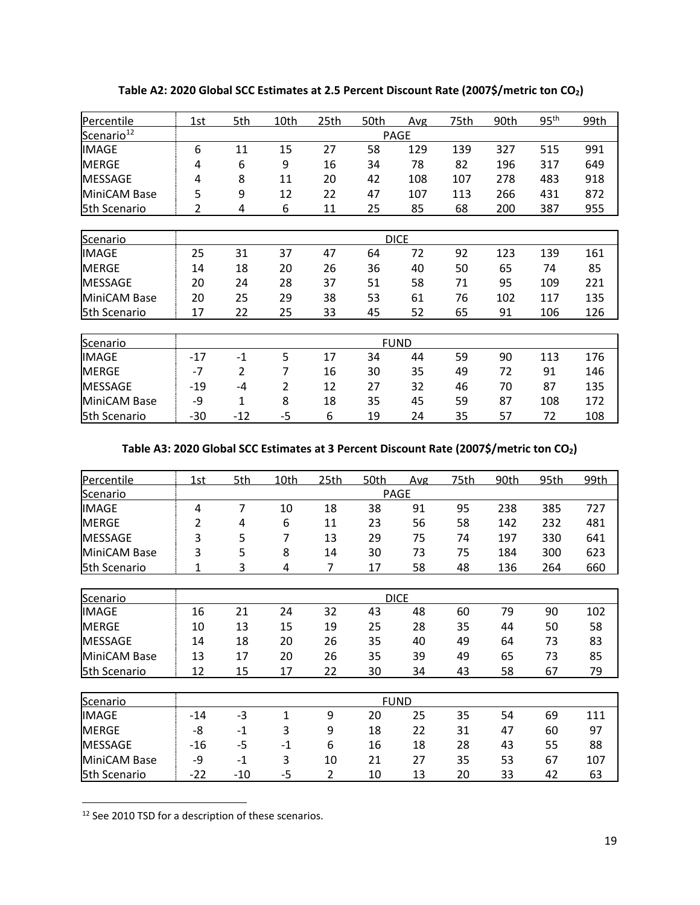| 1st   | 5th   | 10th | 25 <sub>th</sub> | 50th |     | <u>75th</u>                                      | 90th | 95 <sup>th</sup> | 99th |
|-------|-------|------|------------------|------|-----|--------------------------------------------------|------|------------------|------|
|       |       |      |                  |      |     |                                                  |      |                  |      |
| 6     | 11    | 15   | 27               | 58   | 129 | 139                                              | 327  | 515              | 991  |
| 4     | 6     | 9    | 16               | 34   | 78  | 82                                               | 196  | 317              | 649  |
| 4     | 8     | 11   | 20               | 42   | 108 | 107                                              | 278  | 483              | 918  |
| 5     | 9     | 12   | 22               | 47   | 107 | 113                                              | 266  | 431              | 872  |
| 2     | 4     | 6    | 11               | 25   | 85  | 68                                               | 200  | 387              | 955  |
|       |       |      |                  |      |     |                                                  |      |                  |      |
|       |       |      |                  |      |     |                                                  |      |                  |      |
| 25    | 31    | 37   | 47               | 64   | 72  | 92                                               | 123  | 139              | 161  |
| 14    | 18    | 20   | 26               | 36   | 40  | 50                                               | 65   | 74               | 85   |
| 20    | 24    | 28   | 37               | 51   | 58  | 71                                               | 95   | 109              | 221  |
| 20    | 25    | 29   | 38               | 53   | 61  | 76                                               | 102  | 117              | 135  |
| 17    | 22    | 25   | 33               | 45   | 52  | 65                                               | 91   | 106              | 126  |
|       |       |      |                  |      |     |                                                  |      |                  |      |
|       |       |      |                  |      |     |                                                  |      |                  |      |
| $-17$ | $-1$  | 5    | 17               | 34   | 44  | 59                                               | 90   | 113              | 176  |
| $-7$  | 2     | 7    | 16               | 30   | 35  | 49                                               | 72   | 91               | 146  |
| $-19$ | -4    | 2    | 12               | 27   | 32  | 46                                               | 70   | 87               | 135  |
| -9    | 1     | 8    | 18               | 35   | 45  | 59                                               | 87   | 108              | 172  |
| $-30$ | $-12$ | -5   | 6                | 19   | 24  | 35                                               | 57   | 72               | 108  |
|       |       |      |                  |      |     | <b>Avg</b><br>PAGE<br><b>DICE</b><br><b>FUND</b> |      |                  |      |

 **Table A2: 2020 Global SCC Estimates at 2.5 Percent Discount Rate (2007\$/metric ton CO2)** 

# **Table A3: 2020 Global SCC Estimates at 3 Percent Discount Rate (2007\$/metric ton CO2)**

| Percentile     | 1st   | 5th            | 10th | 25 <sub>th</sub> | 50th        | Avg | <u>75th</u> | 90th | 95th | 99th |
|----------------|-------|----------------|------|------------------|-------------|-----|-------------|------|------|------|
| Scenario       |       |                |      |                  | <b>PAGE</b> |     |             |      |      |      |
| <b>IMAGE</b>   | 4     | $\overline{7}$ | 10   | 18               | 38          | 91  | 95          | 238  | 385  | 727  |
| <b>MERGE</b>   | 2     | 4              | 6    | 11               | 23          | 56  | 58          | 142  | 232  | 481  |
| <b>MESSAGE</b> | 3     | 5              | 7    | 13               | 29          | 75  | 74          | 197  | 330  | 641  |
| MiniCAM Base   | 3     | 5              | 8    | 14               | 30          | 73  | 75          | 184  | 300  | 623  |
| 5th Scenario   | 1     | 3              | 4    | 7                | 17          | 58  | 48          | 136  | 264  | 660  |
|                |       |                |      |                  |             |     |             |      |      |      |
| Scenario       |       |                |      |                  | <b>DICE</b> |     |             |      |      |      |
| <b>IMAGE</b>   | 16    | 21             | 24   | 32               | 43          | 48  | 60          | 79   | 90   | 102  |
| <b>MERGE</b>   | 10    | 13             | 15   | 19               | 25          | 28  | 35          | 44   | 50   | 58   |
| <b>MESSAGE</b> | 14    | 18             | 20   | 26               | 35          | 40  | 49          | 64   | 73   | 83   |
| MiniCAM Base   | 13    | 17             | 20   | 26               | 35          | 39  | 49          | 65   | 73   | 85   |
| 5th Scenario   | 12    | 15             | 17   | 22               | 30          | 34  | 43          | 58   | 67   | 79   |
|                |       |                |      |                  |             |     |             |      |      |      |
| Scenario       |       |                |      |                  | <b>FUND</b> |     |             |      |      |      |
| <b>IMAGE</b>   | $-14$ | $-3$           | 1    | 9                | 20          | 25  | 35          | 54   | 69   | 111  |
| <b>MERGE</b>   | -8    | $-1$           | 3    | 9                | 18          | 22  | 31          | 47   | 60   | 97   |
| IMESSAGE       | $-16$ | $-5$           | $-1$ | 6                | 16          | 18  | 28          | 43   | 55   | 88   |
| MiniCAM Base   | -9    | $-1$           | 3    | 10               | 21          | 27  | 35          | 53   | 67   | 107  |
| 5th Scenario   | -22   | $-10$          | -5   | 2                | 10          | 13  | 20          | 33   | 42   | 63   |

<sup>12</sup> See 2010 TSD for a description of these scenarios.

 $\overline{a}$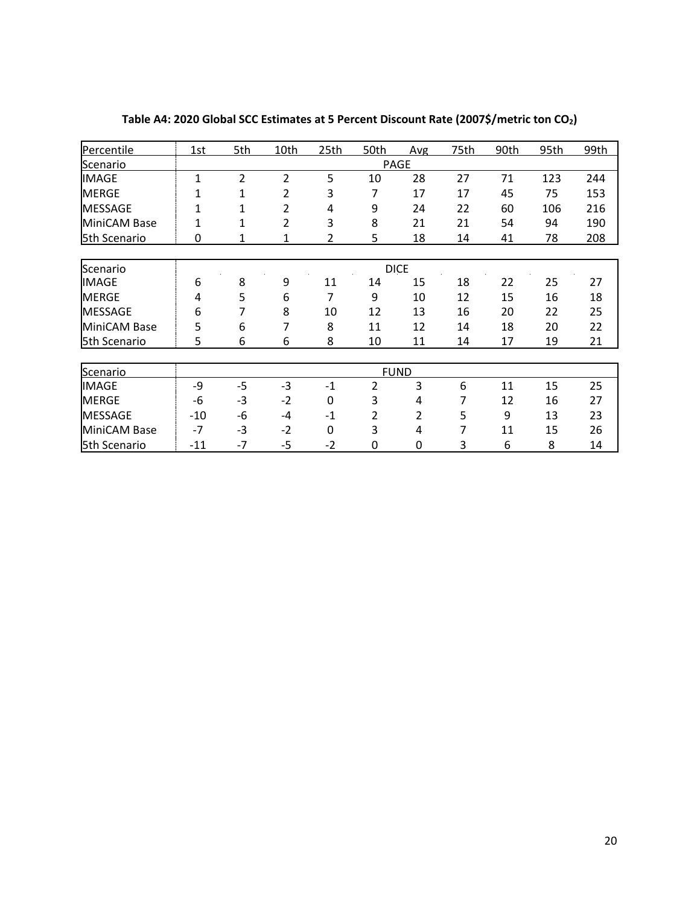| Percentile     | 1st          | 5th            | 10th           | 25 <sub>th</sub> |             |                                                                                                                                                                                                                                                                                                                                  |    |    |    |    |  |  |  |  |  |
|----------------|--------------|----------------|----------------|------------------|-------------|----------------------------------------------------------------------------------------------------------------------------------------------------------------------------------------------------------------------------------------------------------------------------------------------------------------------------------|----|----|----|----|--|--|--|--|--|
| Scenario       |              |                |                |                  |             | 99th<br>50th<br>75th<br>90th<br>95th<br>Avg<br>PAGE<br>28<br>27<br>10<br>71<br>123<br>244<br>7<br>75<br>153<br>17<br>45<br>17<br>216<br>9<br>22<br>60<br>106<br>24<br>8<br>190<br>21<br>21<br>54<br>94<br>208<br>5<br>18<br>78<br>41<br>14<br><b>DICE</b><br>27<br>15<br>22<br>25<br>14<br>18<br>16<br>18<br>9<br>15<br>10<br>12 |    |    |    |    |  |  |  |  |  |
| <b>IMAGE</b>   | $\mathbf{1}$ | $\overline{2}$ | $\overline{2}$ | 5                |             |                                                                                                                                                                                                                                                                                                                                  |    |    |    |    |  |  |  |  |  |
| <b>MERGE</b>   | $\mathbf{1}$ | 1              | 2              | 3                |             |                                                                                                                                                                                                                                                                                                                                  |    |    |    |    |  |  |  |  |  |
| <b>MESSAGE</b> | 1            | 1              | 2              | 4                |             |                                                                                                                                                                                                                                                                                                                                  |    |    |    |    |  |  |  |  |  |
| MiniCAM Base   | $\mathbf{1}$ | 1              | 2              | 3                |             |                                                                                                                                                                                                                                                                                                                                  |    |    |    |    |  |  |  |  |  |
| 5th Scenario   | 0            | 1              | 1              | 2                |             |                                                                                                                                                                                                                                                                                                                                  |    |    |    |    |  |  |  |  |  |
|                |              |                |                |                  |             |                                                                                                                                                                                                                                                                                                                                  |    |    |    |    |  |  |  |  |  |
| Scenario       |              |                |                |                  |             |                                                                                                                                                                                                                                                                                                                                  |    |    |    |    |  |  |  |  |  |
| <b>IMAGE</b>   | 6            | 8              | 9              | 11               |             |                                                                                                                                                                                                                                                                                                                                  |    |    |    |    |  |  |  |  |  |
| <b>MERGE</b>   | 4            | 5              | 6              | 7                |             |                                                                                                                                                                                                                                                                                                                                  |    |    |    |    |  |  |  |  |  |
| <b>MESSAGE</b> | 6            | 7              | 8              | 10               | 12          | 13                                                                                                                                                                                                                                                                                                                               | 16 | 20 | 22 | 25 |  |  |  |  |  |
| MiniCAM Base   | 5            | 6              | 7              | 8                | 11          | 12                                                                                                                                                                                                                                                                                                                               | 14 | 18 | 20 | 22 |  |  |  |  |  |
| 5th Scenario   | 5            | 6              | 6              | 8                | 10          | 11                                                                                                                                                                                                                                                                                                                               | 14 | 17 | 19 | 21 |  |  |  |  |  |
|                |              |                |                |                  |             |                                                                                                                                                                                                                                                                                                                                  |    |    |    |    |  |  |  |  |  |
| Scenario       |              |                |                |                  | <b>FUND</b> |                                                                                                                                                                                                                                                                                                                                  |    |    |    |    |  |  |  |  |  |
| <b>IMAGE</b>   | -9           | -5             | $-3$           | $-1$             | 2           | 3                                                                                                                                                                                                                                                                                                                                | 6  | 11 | 15 | 25 |  |  |  |  |  |
| <b>MERGE</b>   | -6           | -3             | $-2$           | 0                | 3           | 4                                                                                                                                                                                                                                                                                                                                | 7  | 12 | 16 | 27 |  |  |  |  |  |
| <b>MESSAGE</b> | $-10$        | -6             | $-4$           | $-1$             | 2           | 2                                                                                                                                                                                                                                                                                                                                | 5  | 9  | 13 | 23 |  |  |  |  |  |
| MiniCAM Base   | $-7$         | $-3$           | $-2$           | 0                | 3           | 4                                                                                                                                                                                                                                                                                                                                | 7  | 11 | 15 | 26 |  |  |  |  |  |
| 5th Scenario   | $-11$        | $-7$           | $-5$           | $-2$             | 0           | 0                                                                                                                                                                                                                                                                                                                                | 3  | 6  | 8  | 14 |  |  |  |  |  |

## **Table A4: 2020 Global SCC Estimates at 5 Percent Discount Rate (2007\$/metric ton CO2)**